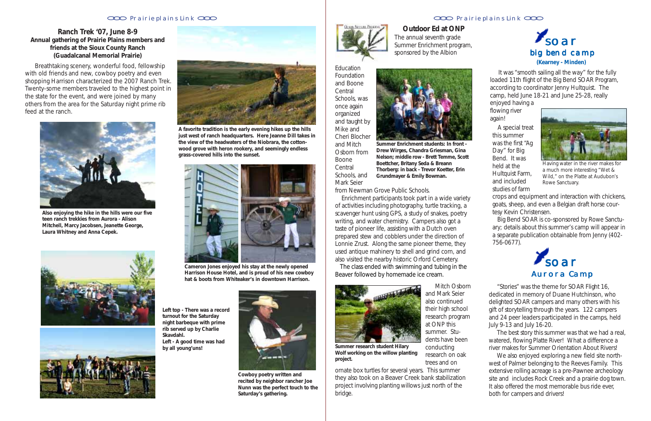It was "smooth sailing all the way" for the fully loaded 11th flight of the Big Bend SOAR Program, according to coordinator Jenny Hultquist. The camp, held June 18-21 and June 25-28, really

enjoyed having a flowing river again!

# **Outdoor Ed at ONP**

The annual seventh grade Summer Enrichment program, sponsored by the Albion

# Education

Foundation and Boone **Central** Schools, was once again organized and taught by Mike and Cheri Blocher and Mitch Osborn from Boone **Central** Schools, and

Mark Seier

from Newman Grove Public Schools.

 Enrichment participants took part in a wide variety of activities including photography, turtle tracking, a scavenger hunt using GPS, a study of snakes, poetry writing, and water chemistry. Campers also got a taste of pioneer life, assisting with a Dutch oven prepared stew and cobblers under the direction of Lonnie Zrust. Along the same pioneer theme, they used antique mahinery to shell and grind corn, and also visited the nearby historic Orford Cemetery.

 The class ended with swimming and tubing in the Beaver followed by homemade ice cream.



 Mitch Osborn and Mark Seier also continued their high school research program at ONP this summer. Students have been conducting research on oak trees and on

ornate box turtles for several years. This summer they also took on a Beaver Creek bank stabilization project involving planting willows just north of the bridge.

**Summer research student Hilary Wolf working on the willow planting project.**

#### Prairie plains Link CCC **CONTROL CONTROLLER In the CONTROLLER CONTROLLER IN THE PLAIN** CONTROLLER CONTROLLER CONTROLLER CONTROLLER CONTROLLER CONTROLLER CONTROLLER CONTROLLER CONTROLLER CONTROLLER CONTROLLER CONTROLLER C

#### **Ranch Trek '07, June 8-9 Annual gathering of Prairie Plains members and friends at the Sioux County Ranch (Guadalcanal Memorial Prairie)**

 Breathtaking scenery, wonderful food, fellowship with old friends and new, cowboy poetry and even shopping Harrison characterized the 2007 Ranch Trek. Twenty-some members traveled to the highest point in the state for the event, and were joined by many others from the area for the Saturday night prime rib feed at the ranch.

> We also enjoyed exploring a new field site northwest of Palmer belonging to the Reeves Family. This extensive rolling acreage is a pre-Pawnee archeology site and includes Rock Creek and a prairie dog town. It also offered the most memorable bus ride ever, both for campers and drivers!

**A favorite tradition is the early evening hikes up the hills just west of ranch headquarters. Here Jeanne Dill takes in the view of the headwaters of the Niobrara, the cottonwood grove with heron rookery, and seemingly endless grass-covered hills into the sunset.**





**Also enjoying the hike in the hills were our five teen ranch trekkies from Aurora - Alison Mitchell, Marcy Jacobsen, Jeanette George, Laura Whitney and Anna Cepek.**







**Left top - There was a record turnout for the Saturday night barbeque with prime rib served up by Charlie Skavdahl. Left - A good time was had by all young'uns!**

**Cowboy poetry written and recited by neighbor rancher Joe Nunn was the perfect touch to the Saturday's gathering.**



 A special treat this summer was the first "Ag Day" for Big Bend. It was held at the Hultquist Farm, and included studies of farm

crops and equipment and interaction with chickens, goats, sheep, and even a Belgian draft horse courtesy Kevin Christensen.

 Big Bend SOAR is co-sponsored by Rowe Sanctuary; details about this summer's camp will appear in a separate publication obtainable from Jenny (402- 756-0677).



Having water in the river makes for a much more interesting "Wet & Wild," on the Platte at Audubon's Rowe Sanctuary.





 "Stories" was the theme for SOAR Flight 16, dedicated in memory of Duane Hutchinson, who delighted SOAR campers and many others with his gift of storytelling through the years. 122 campers and 24 peer leaders participated in the camps, held July 9-13 and July 16-20.

 The best story this summer was that we had a real, watered, flowing Platte River! What a difference a river makes for Summer Orientation About Rivers!



**Summer Enrichment students: In front - Drew Wirges, Chandra Griesman, Gina Nelson; middle row - Brett Temme, Scott Boettcher, Britany Seda & Breann Thorberg: in back - Trevor Koetter, Erin Grundmayer & Emily Bowman.**